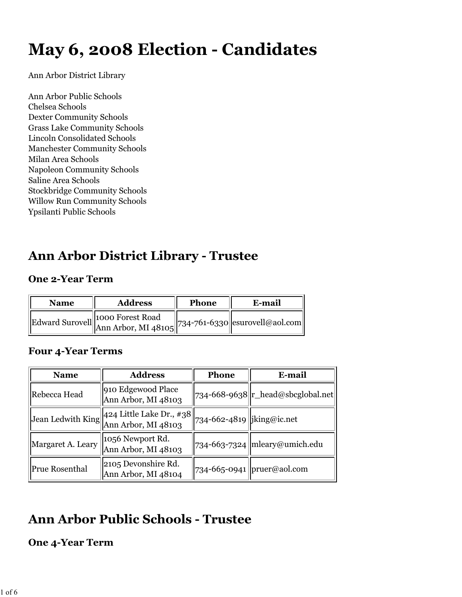# **May 6, 2008 Election - Candidates**

Ann Arbor District Library

Ann Arbor Public Schools Chelsea Schools Dexter Community Schools Grass Lake Community Schools Lincoln Consolidated Schools Manchester Community Schools Milan Area Schools Napoleon Community Schools Saline Area Schools Stockbridge Community Schools Willow Run Community Schools Ypsilanti Public Schools

### **Ann Arbor District Library - Trustee**

#### **One 2-Year Term**

| <b>Name</b> | <b>Address</b>                                                                                                                                     | Phone | E-mail |
|-------------|----------------------------------------------------------------------------------------------------------------------------------------------------|-------|--------|
|             | $\mathbf{E}$ dward Surovell $\begin{vmatrix} 1000 \text{ Forest Road} \\ \text{Ann Arbor, MI } 48105 \end{vmatrix}$ 734-761-6330 esurovell@aol.com |       |        |

#### **Four 4-Year Terms**

| <b>Name</b>           | <b>Address</b><br><b>Phone</b>                                       |                                                | E-mail                                       |
|-----------------------|----------------------------------------------------------------------|------------------------------------------------|----------------------------------------------|
| Rebecca Head          | 910 Edgewood Place<br>Ann Arbor, MI 48103                            |                                                | $734-668-9638$   r_head@sbcglobal.net        |
|                       | Jean Ledwith King 424 Little Lake Dr., $\#38$<br>Ann Arbor, MI 48103 | $\left  734 - 662 - 4819 \right $ iking@ic.net |                                              |
| Margaret A. Leary     | 1056 Newport Rd.<br>Ann Arbor, MI 48103                              |                                                | $\left 734-663-7324\right $ mleary@umich.edu |
| <b>Prue Rosenthal</b> | 2105 Devonshire Rd.<br>Ann Arbor, MI 48104                           |                                                | 734-665-0941   pruer@aol.com                 |

# **Ann Arbor Public Schools - Trustee**

#### **One 4-Year Term**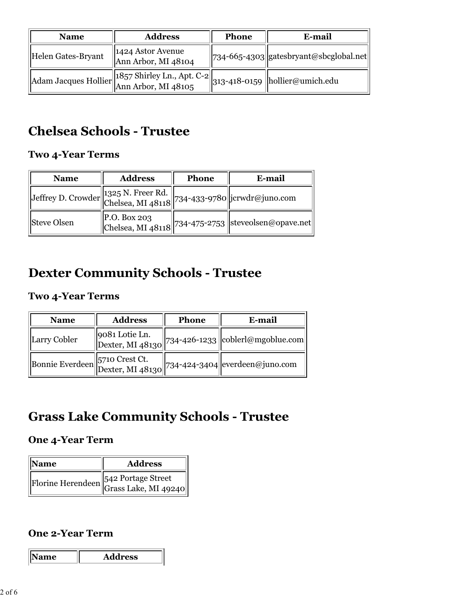| <b>Name</b>        | <b>Address</b>                                                                 | <b>Phone</b> | E-mail                                  |
|--------------------|--------------------------------------------------------------------------------|--------------|-----------------------------------------|
| Helen Gates-Bryant | 1424 Astor Avenue<br>Ann Arbor, MI 48104                                       |              | 734-665-4303  gatesbryant@sbcglobal.net |
|                    | Adam Jacques Hollier 1857 Shirley Ln., Apt. C-2 313-418-0159 hollier@umich.edu |              |                                         |

## **Chelsea Schools - Trustee**

#### **Two 4-Year Terms**

| <b>Name</b>                                                       | <b>Address</b> | Phone | E-mail                                                                                                                                 |
|-------------------------------------------------------------------|----------------|-------|----------------------------------------------------------------------------------------------------------------------------------------|
| Jeffrey D. Crowder 1325 N. Freer Rd. 734-433-9780 jcrwdr@juno.com |                |       |                                                                                                                                        |
| <b>Steve Olsen</b>                                                |                |       | $\left\Vert \begin{matrix} P.O. \text{ Box 203} \ \text{Chelsea, MI 48118} \end{matrix} \right\Vert$ 734-475-2753 steveolsen@opave.net |

### **Dexter Community Schools - Trustee**

#### **Two 4-Year Terms**

| <b>Name</b>  | <b>Address</b> | <b>Phone</b> | E-mail                                                                                                                                           |
|--------------|----------------|--------------|--------------------------------------------------------------------------------------------------------------------------------------------------|
| Larry Cobler |                |              | Dexter, MI 48130 734-426-1233 coblerl@mgoblue.com                                                                                                |
|              |                |              | Bonnie Everdeen 5710 Crest Ct. $\begin{bmatrix} 5710 & \text{Crest Ct} \\ \text{Dexter, MI } 48130 \end{bmatrix}$ 734-424-3404 everdeen@juno.com |

### **Grass Lake Community Schools - Trustee**

#### **One 4-Year Term**

| Name | <b>Address</b>                       |
|------|--------------------------------------|
|      | Florine Herendeen 542 Portage Street |

#### **One 2-Year Term**

**Name Address**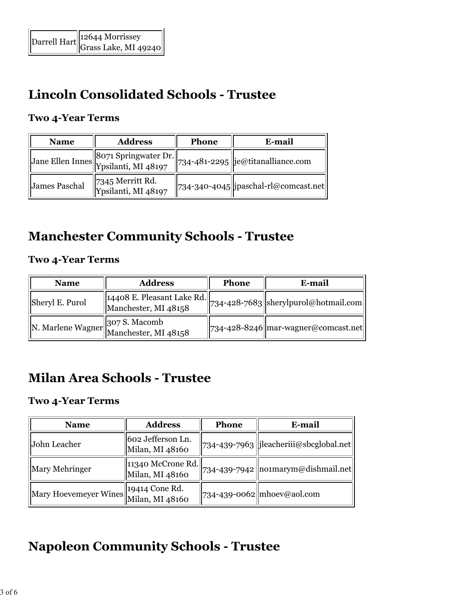# **Lincoln Consolidated Schools - Trustee**

#### **Two 4-Year Terms**

| <b>Name</b>   | <b>Address</b>                                                          | <b>Phone</b> | E-mail                                      |
|---------------|-------------------------------------------------------------------------|--------------|---------------------------------------------|
|               | Jane Ellen Innes 8071 Springwater Dr. 734-481-2295 je@titanalliance.com |              |                                             |
| James Paschal | 7345 Merritt Rd.<br>Ypsilanti, MI 48197                                 |              | $\ $ 734-340-4045   jpaschal-rl@comcast.net |

### **Manchester Community Schools - Trustee**

#### **Two 4-Year Terms**

| <b>Name</b>     | <b>Address</b>                                                          | <b>Phone</b> | E-mail                                                              |
|-----------------|-------------------------------------------------------------------------|--------------|---------------------------------------------------------------------|
| Sheryl E. Purol | $\vert$ 14408 E. Pleasant Lake Rd. $\vert\vert$<br>Manchester, MI 48158 |              | $\left  \frac{1}{234} - 428 - 7683 \right $ sherylpurol@hotmail.com |
|                 | N. Marlene Wagner 307 S. Macomb<br>Manchester, MI 48158                 |              | $\ $ 734-428-8246 mar-wagner@comcast.net                            |

### **Milan Area Schools - Trustee**

#### **Two 4-Year Terms**

| <b>Name</b>                          | <b>Address</b>                       | <b>Phone</b> | E-mail                                                                  |
|--------------------------------------|--------------------------------------|--------------|-------------------------------------------------------------------------|
| John Leacher                         | 602 Jefferson Ln.<br>Milan, MI 48160 |              | 734-439-7963   jleacheriii@sbcglobal.net                                |
| Mary Mehringer                       | 11340 McCrone Rd.<br>Milan, MI 48160 |              | $\left\  734$ -439-7942 $\left\  \text{nonmarym@dishmail.net} \right\ $ |
| Mary Hoevemeyer Wines 19414 Cone Rd. | Milan, MI 48160                      |              | $\ $ 734-439-0062 $\ $ mhoev@aol.com                                    |

# **Napoleon Community Schools - Trustee**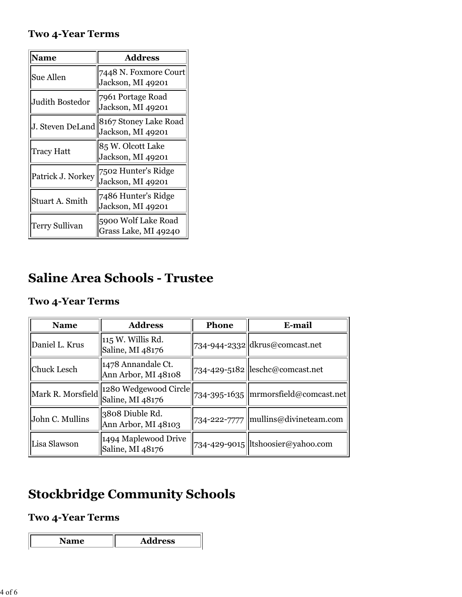#### **Two 4-Year Terms**

| Name              | <b>Address</b>                              |
|-------------------|---------------------------------------------|
| <b>Sue Allen</b>  | 7448 N. Foxmore Court<br>Jackson, MI 49201  |
| Judith Bostedor   | 7961 Portage Road<br>Jackson, MI 49201      |
| J. Steven DeLand  | 8167 Stoney Lake Road<br>Jackson, MI 49201  |
| Tracy Hatt        | 85 W. Olcott Lake<br>Jackson, MI 49201      |
| Patrick J. Norkey | 7502 Hunter's Ridge<br>Jackson, MI 49201    |
| Stuart A. Smith   | 7486 Hunter's Ridge<br>Jackson, MI 49201    |
| Terry Sullivan    | 5900 Wolf Lake Road<br>Grass Lake, MI 49240 |

# **Saline Area Schools - Trustee**

#### **Two 4-Year Terms**

| <b>Name</b>                        | <b>Address</b>                            | Phone | E-mail                                 |
|------------------------------------|-------------------------------------------|-------|----------------------------------------|
| Daniel L. Krus                     | 115 W. Willis Rd.<br>Saline, MI 48176     |       | 734-944-2332 dkrus@comcast.net         |
| <b>Chuck Lesch</b>                 | 1478 Annandale Ct.<br>Ann Arbor, MI 48108 |       | 734-429-5182 leschc@comcast.net        |
| Mark R. Morsfield Saline, MI 48176 | 1280 Wedgewood Circle                     |       | 734-395-1635   mrmorsfield@comcast.net |
| John C. Mullins                    | 3808 Diuble Rd.<br>Ann Arbor, MI 48103    |       | 734-222-7777   mullins@divineteam.com  |
| Lisa Slawson                       | 1494 Maplewood Drive<br>Saline, MI 48176  |       | 734-429-9015  ltshoosier@yahoo.com     |

# **Stockbridge Community Schools**

#### **Two 4-Year Terms**

| <b>Aress</b> |
|--------------|
|              |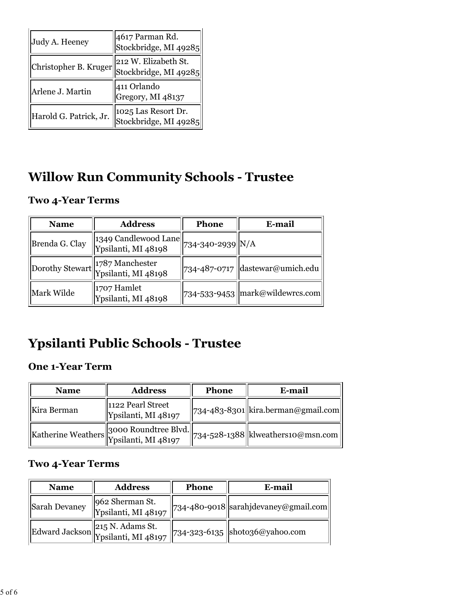| Judy A. Heeney         | 4617 Parman Rd.<br>Stockbridge, MI 49285      |  |
|------------------------|-----------------------------------------------|--|
| Christopher B. Kruger  | 212 W. Elizabeth St.<br>Stockbridge, MI 49285 |  |
| Arlene J. Martin       | 411 Orlando<br>Gregory, MI 48137              |  |
| Harold G. Patrick, Jr. | 1025 Las Resort Dr.<br>Stockbridge, MI 49285  |  |

# **Willow Run Community Schools - Trustee**

#### **Two 4-Year Terms**

| <b>Name</b>    | <b>Address</b>                                                                | <b>Phone</b> | E-mail                            |
|----------------|-------------------------------------------------------------------------------|--------------|-----------------------------------|
| Brenda G. Clay | $\sqrt{1349 \text{ Candlewood Lane}}$ 734-340-2939 N/A<br>Ypsilanti, MI 48198 |              |                                   |
|                | Dorothy Stewart 1787 Manchester<br>Ypsilanti, MI 48198                        |              | 734-487-0717 dastewar@umich.edu   |
| Mark Wilde     | 1707 Hamlet<br>Ypsilanti, MI 48198                                            |              | 734-533-9453   mark@wildewrcs.com |

# **Ypsilanti Public Schools - Trustee**

#### **One 1-Year Term**

| <b>Name</b> | <b>Address</b>                           | <b>Phone</b> | E-mail                                                                                                                                                |
|-------------|------------------------------------------|--------------|-------------------------------------------------------------------------------------------------------------------------------------------------------|
| Kira Berman | 1122 Pearl Street<br>Ypsilanti, MI 48197 |              | 734-483-8301  kira.berman@gmail.com                                                                                                                   |
|             |                                          |              | $\left\ $ Katherine Weathers $\left\  \begin{matrix*}[l] 3000 \text{ Roundtree B} \end{matrix*} \right\ $ 734-528-1388 $\left\ $ klweathers10@msn.com |

#### **Two 4-Year Terms**

| <b>Name</b>   | <b>Address</b>                                         | Phone | E-mail                                         |
|---------------|--------------------------------------------------------|-------|------------------------------------------------|
| Sarah Devaney | 962 Sherman St.<br>Ypsilanti, MI 48197                 |       | $\ $ 734-480-9018 sarahjdevaney@gmail.com      |
|               | Edward Jackson 215 N. Adams St.<br>Ypsilanti, MI 48197 |       | $\left \right $ 734-323-6135 shoto36@yahoo.com |